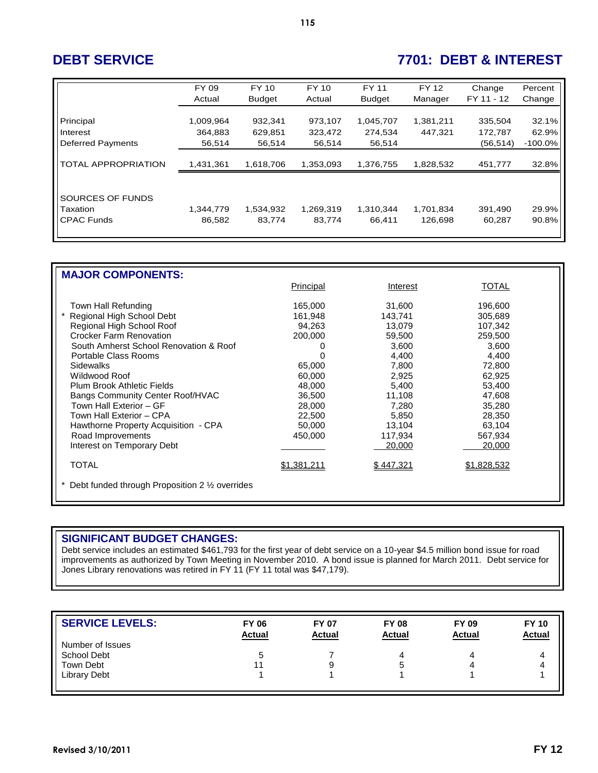# **DEBT SERVICE 7701: DEBT & INTEREST**

|                            | FY 09     | FY 10         | FY 10     | <b>FY 11</b>  | FY 12     | Change     | Percent    |
|----------------------------|-----------|---------------|-----------|---------------|-----------|------------|------------|
|                            | Actual    | <b>Budget</b> | Actual    | <b>Budget</b> | Manager   | FY 11 - 12 | Change     |
|                            |           |               |           |               |           |            |            |
| Principal                  | 1,009,964 | 932,341       | 973,107   | 1,045,707     | 1,381,211 | 335,504    | 32.1%      |
| Interest                   | 364,883   | 629,851       | 323,472   | 274,534       | 447,321   | 172,787    | 62.9%      |
| <b>Deferred Payments</b>   | 56,514    | 56,514        | 56,514    | 56,514        |           | (56, 514)  | $-100.0\%$ |
|                            |           |               |           |               |           |            |            |
| <b>TOTAL APPROPRIATION</b> | 1,431,361 | 1,618,706     | 1,353,093 | 1,376,755     | 1,828,532 | 451,777    | 32.8%      |
|                            |           |               |           |               |           |            |            |
|                            |           |               |           |               |           |            |            |
| SOURCES OF FUNDS           |           |               |           |               |           |            |            |
| Taxation                   | 1,344,779 | 1,534,932     | 1,269,319 | 1,310,344     | 1,701,834 | 391,490    | 29.9%      |
| <b>CPAC Funds</b>          | 86,582    | 83,774        | 83,774    | 66.411        | 126.698   | 60,287     | 90.8%      |
|                            |           |               |           |               |           |            |            |

| <b>MAJOR COMPONENTS:</b>                                  |             |           |              |  |  |  |  |  |  |
|-----------------------------------------------------------|-------------|-----------|--------------|--|--|--|--|--|--|
|                                                           | Principal   | Interest  | <b>TOTAL</b> |  |  |  |  |  |  |
|                                                           |             |           |              |  |  |  |  |  |  |
| Town Hall Refunding                                       | 165,000     | 31,600    | 196,600      |  |  |  |  |  |  |
| Regional High School Debt                                 | 161,948     | 143,741   | 305,689      |  |  |  |  |  |  |
| Regional High School Roof                                 | 94,263      | 13,079    | 107,342      |  |  |  |  |  |  |
| <b>Crocker Farm Renovation</b>                            | 200,000     | 59,500    | 259,500      |  |  |  |  |  |  |
| South Amherst School Renovation & Roof                    |             | 3,600     | 3,600        |  |  |  |  |  |  |
| Portable Class Rooms                                      |             | 4,400     | 4,400        |  |  |  |  |  |  |
| <b>Sidewalks</b>                                          | 65,000      | 7,800     | 72,800       |  |  |  |  |  |  |
| Wildwood Roof                                             | 60,000      | 2,925     | 62,925       |  |  |  |  |  |  |
| Plum Brook Athletic Fields                                | 48,000      | 5,400     | 53,400       |  |  |  |  |  |  |
| Bangs Community Center Roof/HVAC                          | 36,500      | 11,108    | 47,608       |  |  |  |  |  |  |
| Town Hall Exterior - GF                                   | 28,000      | 7,280     | 35,280       |  |  |  |  |  |  |
| Town Hall Exterior - CPA                                  | 22,500      | 5,850     | 28,350       |  |  |  |  |  |  |
| Hawthorne Property Acquisition - CPA                      | 50,000      | 13,104    | 63,104       |  |  |  |  |  |  |
| Road Improvements                                         | 450,000     | 117,934   | 567,934      |  |  |  |  |  |  |
| Interest on Temporary Debt                                |             | 20,000    | 20,000       |  |  |  |  |  |  |
| <b>TOTAL</b>                                              | \$1.381.211 | \$447.321 | \$1.828.532  |  |  |  |  |  |  |
| Debt funded through Proposition 2 $\frac{1}{2}$ overrides |             |           |              |  |  |  |  |  |  |
|                                                           |             |           |              |  |  |  |  |  |  |
|                                                           |             |           |              |  |  |  |  |  |  |

## **SIGNIFICANT BUDGET CHANGES:**

Debt service includes an estimated \$461,793 for the first year of debt service on a 10-year \$4.5 million bond issue for road improvements as authorized by Town Meeting in November 2010. A bond issue is planned for March 2011. Debt service for Jones Library renovations was retired in FY 11 (FY 11 total was \$47,179).

| <b>SERVICE LEVELS:</b> | <b>FY 06</b><br><b>Actual</b> | <b>FY 07</b><br><b>Actual</b> | <b>FY 08</b><br><b>Actual</b> | <b>FY 09</b><br><b>Actual</b> | <b>FY 10</b><br><b>Actual</b> |
|------------------------|-------------------------------|-------------------------------|-------------------------------|-------------------------------|-------------------------------|
| Number of Issues       |                               |                               |                               |                               |                               |
| School Debt            | 5                             |                               | 4                             |                               | 4                             |
| Town Debt              |                               | 9                             |                               |                               | 4                             |
| <b>Library Debt</b>    |                               |                               |                               |                               |                               |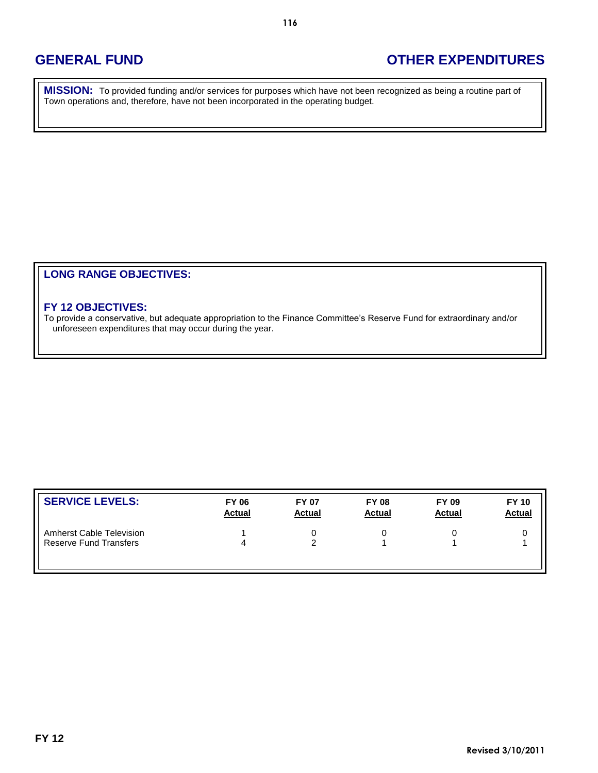## **GENERAL FUND OTHER EXPENDITURES**

**MISSION:** To provided funding and/or services for purposes which have not been recognized as being a routine part of Town operations and, therefore, have not been incorporated in the operating budget.

## **LONG RANGE OBJECTIVES:**

## **FY 12 OBJECTIVES:**

To provide a conservative, but adequate appropriation to the Finance Committee's Reserve Fund for extraordinary and/or unforeseen expenditures that may occur during the year.

| <b>SERVICE LEVELS:</b>        | <b>FY 06</b><br><b>Actual</b> | <b>FY 07</b><br><b>Actual</b> | <b>FY 08</b><br><b>Actual</b> | <b>FY 09</b><br><b>Actual</b> | <b>FY 10</b><br><b>Actual</b> |
|-------------------------------|-------------------------------|-------------------------------|-------------------------------|-------------------------------|-------------------------------|
| Amherst Cable Television      |                               |                               |                               |                               |                               |
| <b>Reserve Fund Transfers</b> | 4                             |                               |                               |                               |                               |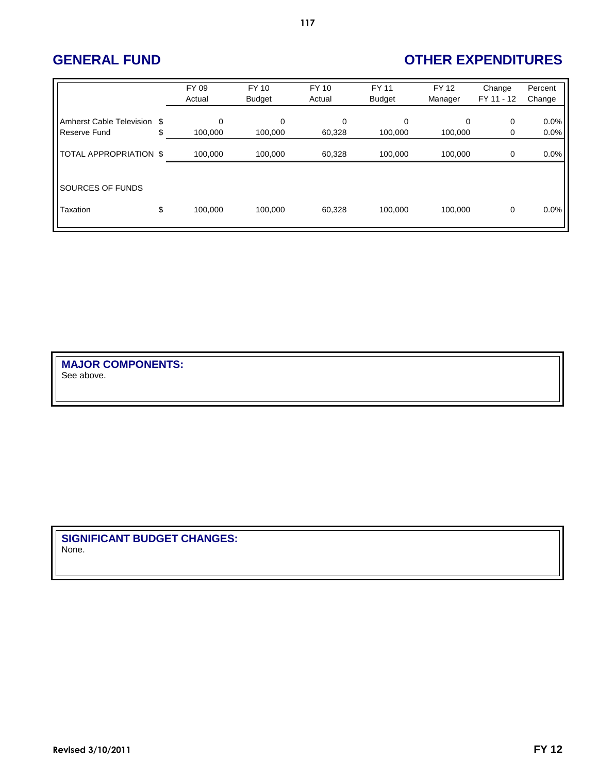# **GENERAL FUND OTHER EXPENDITURES**

|                                             | FY 09<br>Actual    | <b>FY 10</b><br><b>Budget</b> | <b>FY 10</b><br>Actual | <b>FY 11</b><br><b>Budget</b> | <b>FY 12</b><br>Manager | Change<br>FY 11 - 12 | Percent<br>Change |
|---------------------------------------------|--------------------|-------------------------------|------------------------|-------------------------------|-------------------------|----------------------|-------------------|
| Amherst Cable Television \$<br>Reserve Fund | \$<br>0<br>100,000 | 0<br>100,000                  | $\mathbf 0$<br>60,328  | $\Omega$<br>100,000           | 0<br>100,000            | 0<br>0               | 0.0%<br>0.0%      |
| TOTAL APPROPRIATION \$                      | 100,000            | 100,000                       | 60,328                 | 100,000                       | 100.000                 | $\Omega$             | 0.0%              |
| SOURCES OF FUNDS                            |                    |                               |                        |                               |                         |                      |                   |
| Taxation                                    | \$<br>100,000      | 100,000                       | 60,328                 | 100,000                       | 100.000                 | $\mathbf 0$          | 0.0%              |

**117**

**MAJOR COMPONENTS:** See above.

**SIGNIFICANT BUDGET CHANGES:** None.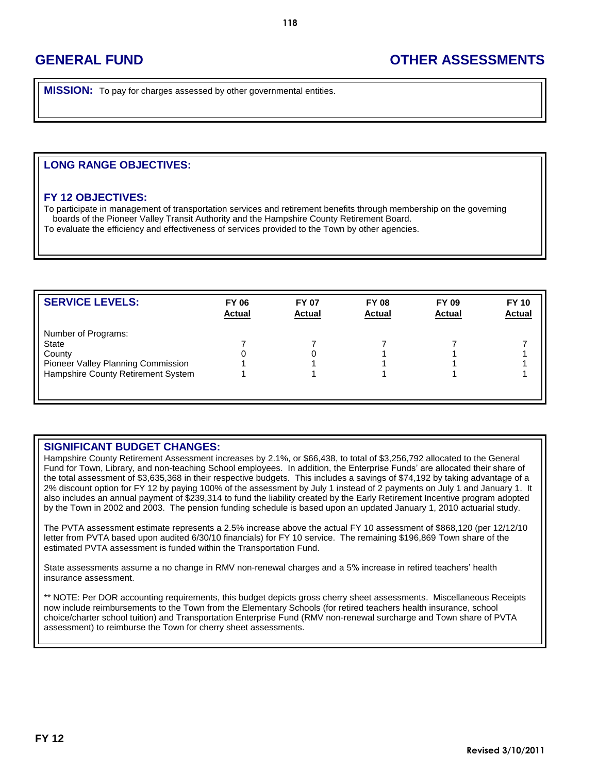## **GENERAL FUND OTHER ASSESSMENTS**

**MISSION:** To pay for charges assessed by other governmental entities.

## **LONG RANGE OBJECTIVES:**

### **FY 12 OBJECTIVES:**

To participate in management of transportation services and retirement benefits through membership on the governing boards of the Pioneer Valley Transit Authority and the Hampshire County Retirement Board. To evaluate the efficiency and effectiveness of services provided to the Town by other agencies.

| <b>SERVICE LEVELS:</b>             | <b>FY 06</b><br><b>Actual</b> | <b>FY 07</b><br><b>Actual</b> | <b>FY 08</b><br><b>Actual</b> | <b>FY 09</b><br><b>Actual</b> | <b>FY 10</b><br><b>Actual</b> |
|------------------------------------|-------------------------------|-------------------------------|-------------------------------|-------------------------------|-------------------------------|
| Number of Programs:                |                               |                               |                               |                               |                               |
| State                              |                               |                               |                               |                               |                               |
| County                             |                               |                               |                               |                               |                               |
| Pioneer Valley Planning Commission |                               |                               |                               |                               |                               |
| Hampshire County Retirement System |                               |                               |                               |                               |                               |
|                                    |                               |                               |                               |                               |                               |

## **SIGNIFICANT BUDGET CHANGES:**

Hampshire County Retirement Assessment increases by 2.1%, or \$66,438, to total of \$3,256,792 allocated to the General Fund for Town, Library, and non-teaching School employees. In addition, the Enterprise Funds' are allocated their share of the total assessment of \$3,635,368 in their respective budgets. This includes a savings of \$74,192 by taking advantage of a 2% discount option for FY 12 by paying 100% of the assessment by July 1 instead of 2 payments on July 1 and January 1. It also includes an annual payment of \$239,314 to fund the liability created by the Early Retirement Incentive program adopted by the Town in 2002 and 2003. The pension funding schedule is based upon an updated January 1, 2010 actuarial study.

The PVTA assessment estimate represents a 2.5% increase above the actual FY 10 assessment of \$868,120 (per 12/12/10 letter from PVTA based upon audited 6/30/10 financials) for FY 10 service. The remaining \$196,869 Town share of the estimated PVTA assessment is funded within the Transportation Fund.

State assessments assume a no change in RMV non-renewal charges and a 5% increase in retired teachers' health insurance assessment.

\*\* NOTE: Per DOR accounting requirements, this budget depicts gross cherry sheet assessments. Miscellaneous Receipts now include reimbursements to the Town from the Elementary Schools (for retired teachers health insurance, school choice/charter school tuition) and Transportation Enterprise Fund (RMV non-renewal surcharge and Town share of PVTA assessment) to reimburse the Town for cherry sheet assessments.